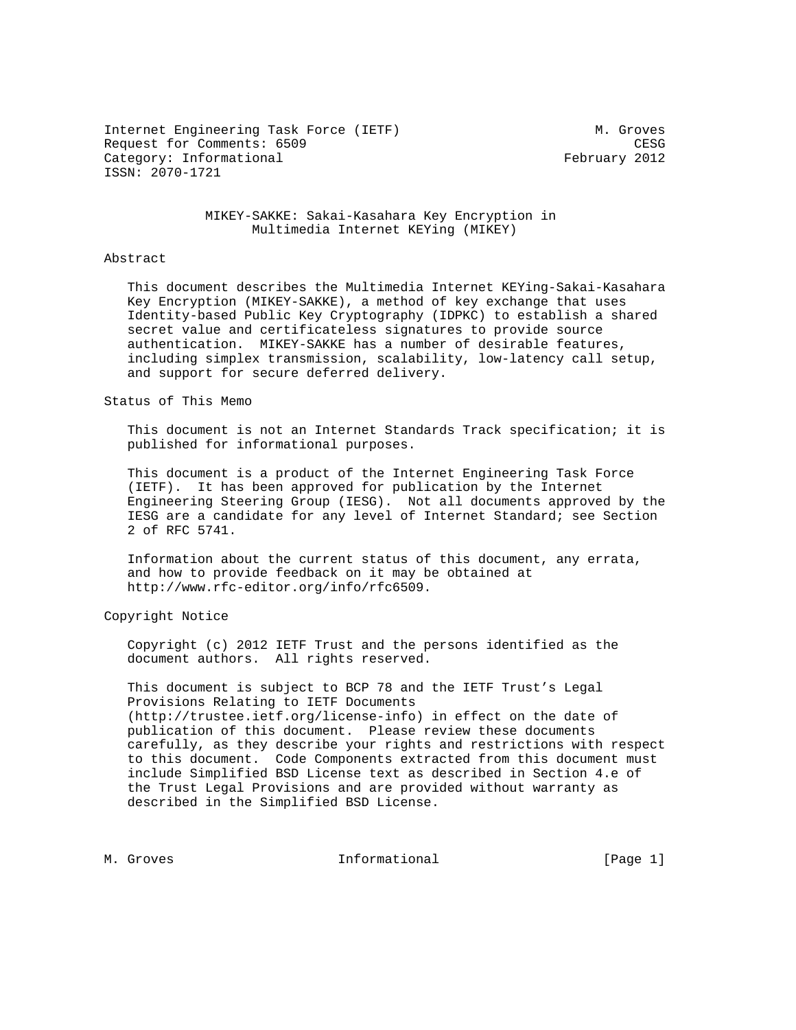Internet Engineering Task Force (IETF) M. Groves Request for Comments: 6509 CESG Category: Informational example of the February 2012 ISSN: 2070-1721

#### MIKEY-SAKKE: Sakai-Kasahara Key Encryption in Multimedia Internet KEYing (MIKEY)

#### Abstract

 This document describes the Multimedia Internet KEYing-Sakai-Kasahara Key Encryption (MIKEY-SAKKE), a method of key exchange that uses Identity-based Public Key Cryptography (IDPKC) to establish a shared secret value and certificateless signatures to provide source authentication. MIKEY-SAKKE has a number of desirable features, including simplex transmission, scalability, low-latency call setup, and support for secure deferred delivery.

## Status of This Memo

 This document is not an Internet Standards Track specification; it is published for informational purposes.

 This document is a product of the Internet Engineering Task Force (IETF). It has been approved for publication by the Internet Engineering Steering Group (IESG). Not all documents approved by the IESG are a candidate for any level of Internet Standard; see Section 2 of RFC 5741.

 Information about the current status of this document, any errata, and how to provide feedback on it may be obtained at http://www.rfc-editor.org/info/rfc6509.

Copyright Notice

 Copyright (c) 2012 IETF Trust and the persons identified as the document authors. All rights reserved.

 This document is subject to BCP 78 and the IETF Trust's Legal Provisions Relating to IETF Documents (http://trustee.ietf.org/license-info) in effect on the date of publication of this document. Please review these documents carefully, as they describe your rights and restrictions with respect to this document. Code Components extracted from this document must include Simplified BSD License text as described in Section 4.e of the Trust Legal Provisions and are provided without warranty as described in the Simplified BSD License.

M. Groves and the informational and the same set of  $[Page 1]$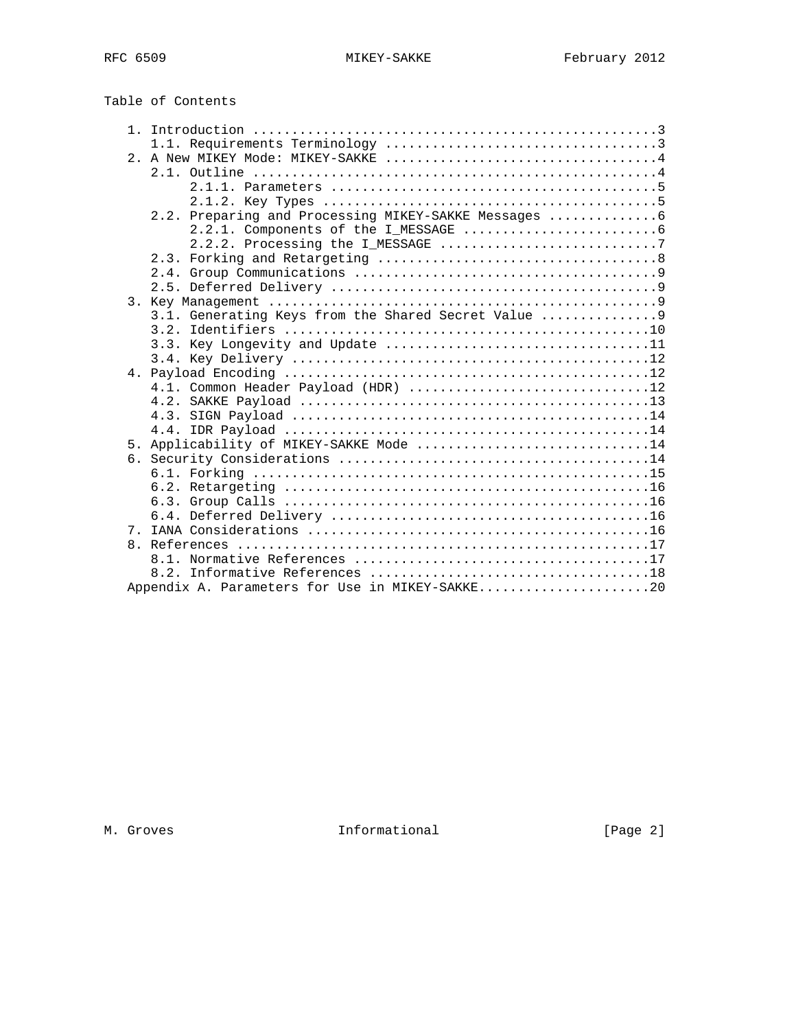| Table of Contents |  |
|-------------------|--|
|-------------------|--|

|                | 2.2.2. Processing the I_MESSAGE 7                    |
|----------------|------------------------------------------------------|
|                |                                                      |
|                |                                                      |
|                |                                                      |
|                |                                                      |
|                | 3.1. Generating Keys from the Shared Secret Value  9 |
|                |                                                      |
|                |                                                      |
|                |                                                      |
|                |                                                      |
|                | 4.1. Common Header Payload (HDR) 12                  |
|                |                                                      |
|                |                                                      |
|                |                                                      |
|                | 5. Applicability of MIKEY-SAKKE Mode 14              |
|                |                                                      |
|                |                                                      |
|                |                                                      |
|                |                                                      |
|                |                                                      |
| 7 <sub>1</sub> |                                                      |
|                |                                                      |
|                |                                                      |
|                |                                                      |
|                | Appendix A. Parameters for Use in MIKEY-SAKKE20      |

M. Groves **Informational M. Groves Informational**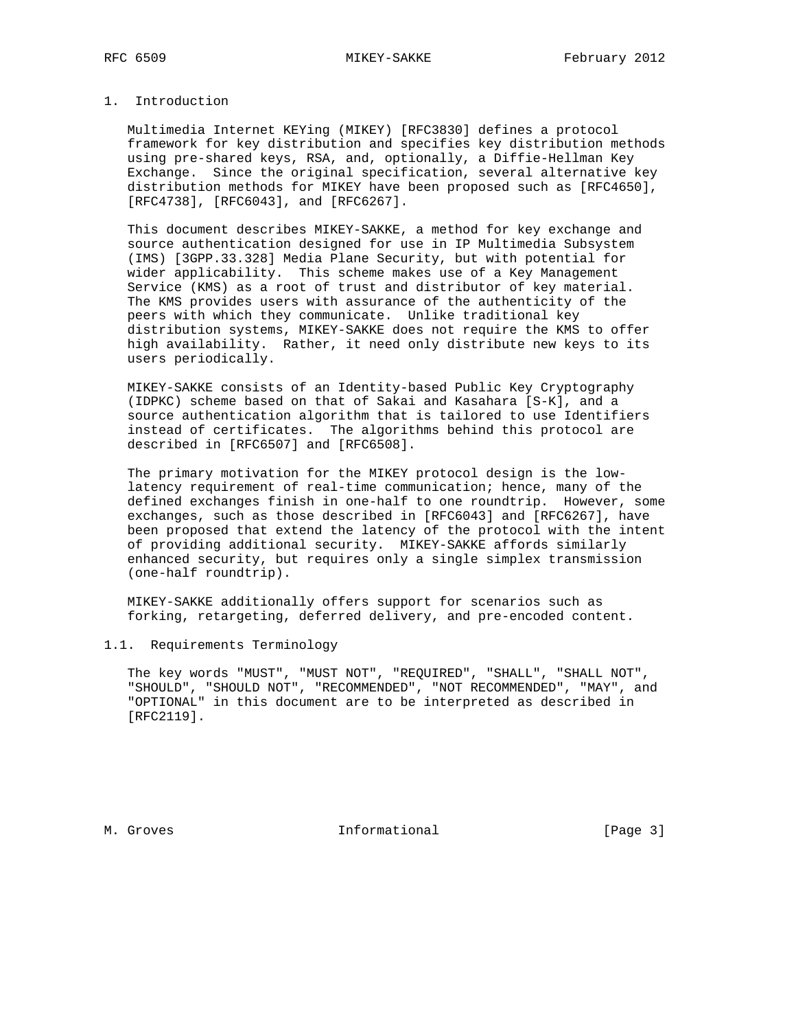## 1. Introduction

 Multimedia Internet KEYing (MIKEY) [RFC3830] defines a protocol framework for key distribution and specifies key distribution methods using pre-shared keys, RSA, and, optionally, a Diffie-Hellman Key Exchange. Since the original specification, several alternative key distribution methods for MIKEY have been proposed such as [RFC4650], [RFC4738], [RFC6043], and [RFC6267].

 This document describes MIKEY-SAKKE, a method for key exchange and source authentication designed for use in IP Multimedia Subsystem (IMS) [3GPP.33.328] Media Plane Security, but with potential for wider applicability. This scheme makes use of a Key Management Service (KMS) as a root of trust and distributor of key material. The KMS provides users with assurance of the authenticity of the peers with which they communicate. Unlike traditional key distribution systems, MIKEY-SAKKE does not require the KMS to offer high availability. Rather, it need only distribute new keys to its users periodically.

 MIKEY-SAKKE consists of an Identity-based Public Key Cryptography (IDPKC) scheme based on that of Sakai and Kasahara [S-K], and a source authentication algorithm that is tailored to use Identifiers instead of certificates. The algorithms behind this protocol are described in [RFC6507] and [RFC6508].

 The primary motivation for the MIKEY protocol design is the low latency requirement of real-time communication; hence, many of the defined exchanges finish in one-half to one roundtrip. However, some exchanges, such as those described in [RFC6043] and [RFC6267], have been proposed that extend the latency of the protocol with the intent of providing additional security. MIKEY-SAKKE affords similarly enhanced security, but requires only a single simplex transmission (one-half roundtrip).

 MIKEY-SAKKE additionally offers support for scenarios such as forking, retargeting, deferred delivery, and pre-encoded content.

#### 1.1. Requirements Terminology

 The key words "MUST", "MUST NOT", "REQUIRED", "SHALL", "SHALL NOT", "SHOULD", "SHOULD NOT", "RECOMMENDED", "NOT RECOMMENDED", "MAY", and "OPTIONAL" in this document are to be interpreted as described in [RFC2119].

M. Groves and the informational contraction in the contraction of the contraction of the contraction of the contraction of the contraction of the contraction of the contraction of the contraction of the contraction of the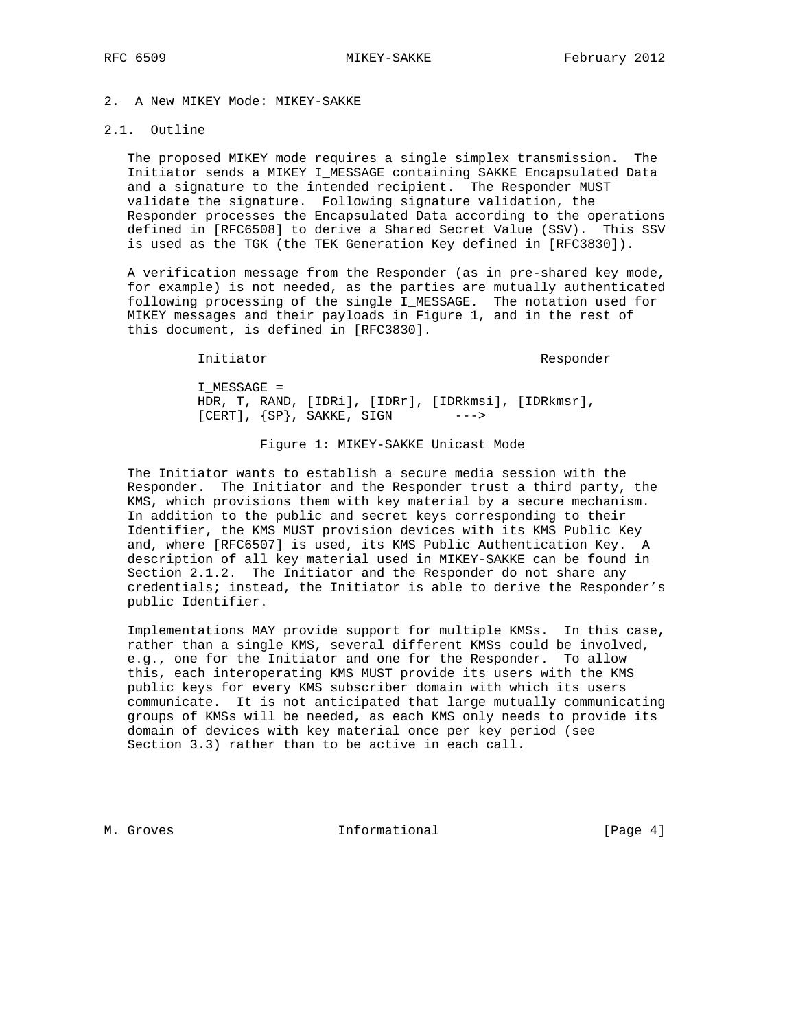# 2. A New MIKEY Mode: MIKEY-SAKKE

## 2.1. Outline

 The proposed MIKEY mode requires a single simplex transmission. The Initiator sends a MIKEY I\_MESSAGE containing SAKKE Encapsulated Data and a signature to the intended recipient. The Responder MUST validate the signature. Following signature validation, the Responder processes the Encapsulated Data according to the operations defined in [RFC6508] to derive a Shared Secret Value (SSV). This SSV is used as the TGK (the TEK Generation Key defined in [RFC3830]).

 A verification message from the Responder (as in pre-shared key mode, for example) is not needed, as the parties are mutually authenticated following processing of the single I\_MESSAGE. The notation used for MIKEY messages and their payloads in Figure 1, and in the rest of this document, is defined in [RFC3830].

Initiator Responder

 I\_MESSAGE = HDR, T, RAND, [IDRi], [IDRr], [IDRkmsi], [IDRkmsr],  $[CERT]$ ,  ${SP}$ , SAKKE, SIGN --->

Figure 1: MIKEY-SAKKE Unicast Mode

 The Initiator wants to establish a secure media session with the Responder. The Initiator and the Responder trust a third party, the KMS, which provisions them with key material by a secure mechanism. In addition to the public and secret keys corresponding to their Identifier, the KMS MUST provision devices with its KMS Public Key and, where [RFC6507] is used, its KMS Public Authentication Key. A description of all key material used in MIKEY-SAKKE can be found in Section 2.1.2. The Initiator and the Responder do not share any credentials; instead, the Initiator is able to derive the Responder's public Identifier.

 Implementations MAY provide support for multiple KMSs. In this case, rather than a single KMS, several different KMSs could be involved, e.g., one for the Initiator and one for the Responder. To allow this, each interoperating KMS MUST provide its users with the KMS public keys for every KMS subscriber domain with which its users communicate. It is not anticipated that large mutually communicating groups of KMSs will be needed, as each KMS only needs to provide its domain of devices with key material once per key period (see Section 3.3) rather than to be active in each call.

M. Groves and the informational contraction in the set of  $[Page 4]$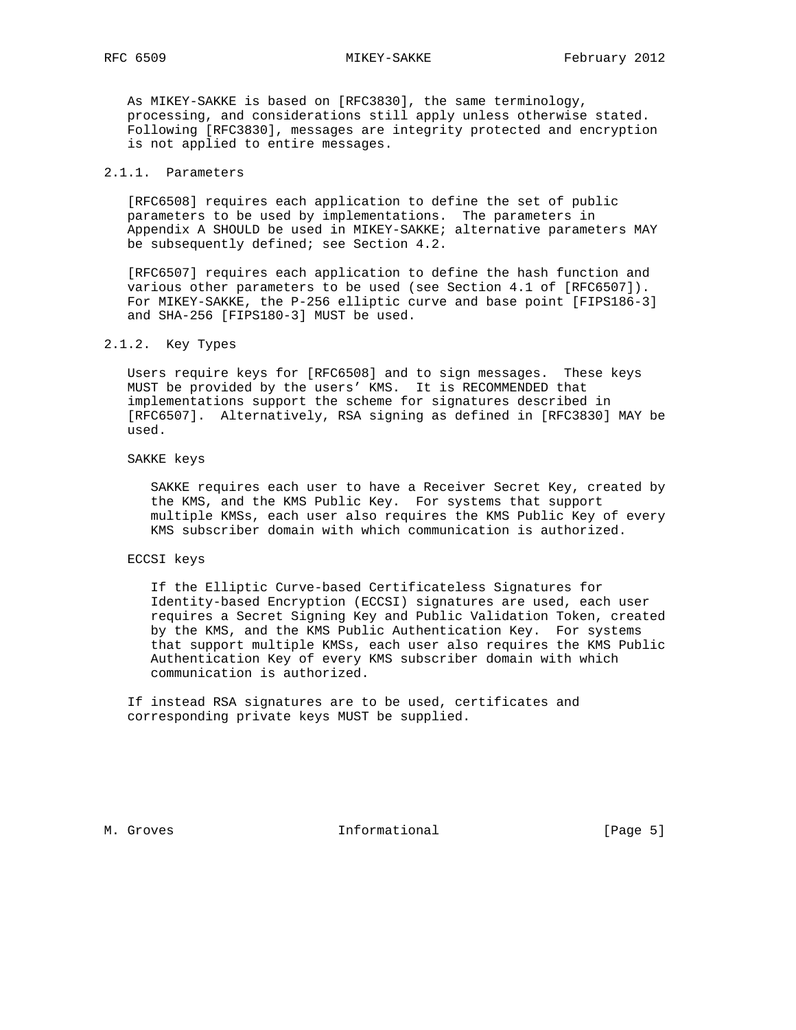As MIKEY-SAKKE is based on [RFC3830], the same terminology, processing, and considerations still apply unless otherwise stated. Following [RFC3830], messages are integrity protected and encryption is not applied to entire messages.

# 2.1.1. Parameters

 [RFC6508] requires each application to define the set of public parameters to be used by implementations. The parameters in Appendix A SHOULD be used in MIKEY-SAKKE; alternative parameters MAY be subsequently defined; see Section 4.2.

 [RFC6507] requires each application to define the hash function and various other parameters to be used (see Section 4.1 of [RFC6507]). For MIKEY-SAKKE, the P-256 elliptic curve and base point [FIPS186-3] and SHA-256 [FIPS180-3] MUST be used.

## 2.1.2. Key Types

 Users require keys for [RFC6508] and to sign messages. These keys MUST be provided by the users' KMS. It is RECOMMENDED that implementations support the scheme for signatures described in [RFC6507]. Alternatively, RSA signing as defined in [RFC3830] MAY be used.

#### SAKKE keys

 SAKKE requires each user to have a Receiver Secret Key, created by the KMS, and the KMS Public Key. For systems that support multiple KMSs, each user also requires the KMS Public Key of every KMS subscriber domain with which communication is authorized.

#### ECCSI keys

 If the Elliptic Curve-based Certificateless Signatures for Identity-based Encryption (ECCSI) signatures are used, each user requires a Secret Signing Key and Public Validation Token, created by the KMS, and the KMS Public Authentication Key. For systems that support multiple KMSs, each user also requires the KMS Public Authentication Key of every KMS subscriber domain with which communication is authorized.

 If instead RSA signatures are to be used, certificates and corresponding private keys MUST be supplied.

M. Groves and the informational contractions in the contraction of  $[Page 5]$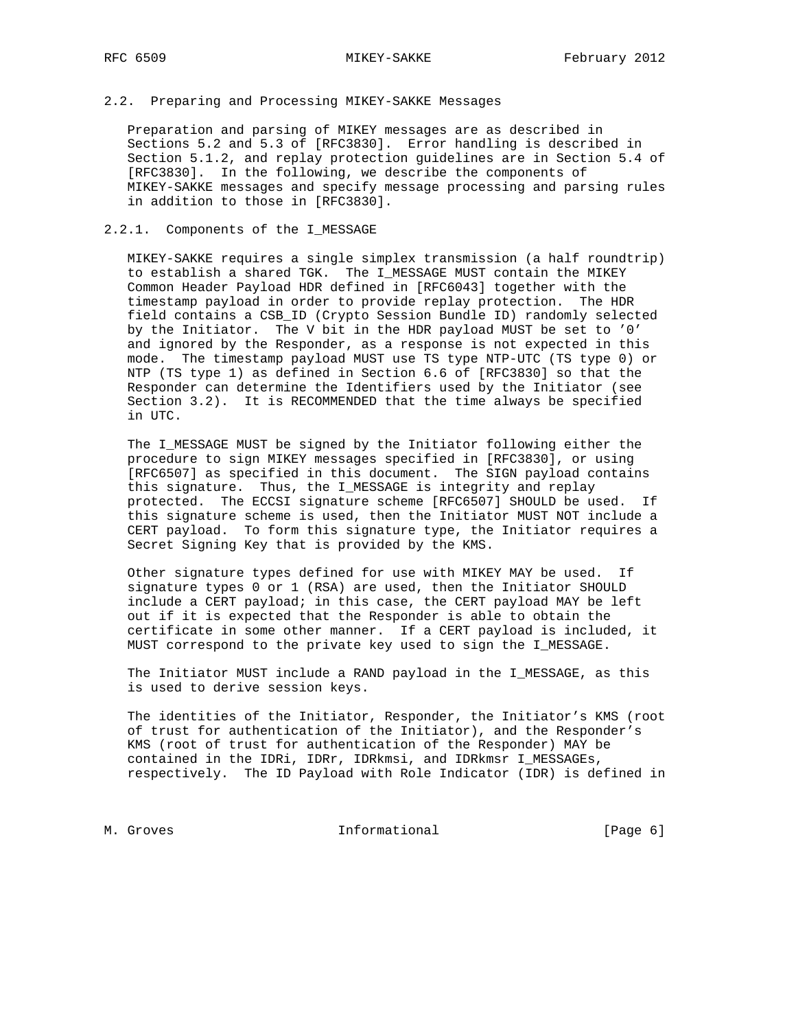## 2.2. Preparing and Processing MIKEY-SAKKE Messages

 Preparation and parsing of MIKEY messages are as described in Sections 5.2 and 5.3 of [RFC3830]. Error handling is described in Section 5.1.2, and replay protection guidelines are in Section 5.4 of [RFC3830]. In the following, we describe the components of MIKEY-SAKKE messages and specify message processing and parsing rules in addition to those in [RFC3830].

## 2.2.1. Components of the I\_MESSAGE

 MIKEY-SAKKE requires a single simplex transmission (a half roundtrip) to establish a shared TGK. The I\_MESSAGE MUST contain the MIKEY Common Header Payload HDR defined in [RFC6043] together with the timestamp payload in order to provide replay protection. The HDR field contains a CSB\_ID (Crypto Session Bundle ID) randomly selected by the Initiator. The V bit in the HDR payload MUST be set to '0' and ignored by the Responder, as a response is not expected in this mode. The timestamp payload MUST use TS type NTP-UTC (TS type 0) or NTP (TS type 1) as defined in Section 6.6 of [RFC3830] so that the Responder can determine the Identifiers used by the Initiator (see Section 3.2). It is RECOMMENDED that the time always be specified in UTC.

 The I\_MESSAGE MUST be signed by the Initiator following either the procedure to sign MIKEY messages specified in [RFC3830], or using [RFC6507] as specified in this document. The SIGN payload contains this signature. Thus, the I\_MESSAGE is integrity and replay protected. The ECCSI signature scheme [RFC6507] SHOULD be used. If this signature scheme is used, then the Initiator MUST NOT include a CERT payload. To form this signature type, the Initiator requires a Secret Signing Key that is provided by the KMS.

 Other signature types defined for use with MIKEY MAY be used. If signature types 0 or 1 (RSA) are used, then the Initiator SHOULD include a CERT payload; in this case, the CERT payload MAY be left out if it is expected that the Responder is able to obtain the certificate in some other manner. If a CERT payload is included, it MUST correspond to the private key used to sign the I\_MESSAGE.

 The Initiator MUST include a RAND payload in the I\_MESSAGE, as this is used to derive session keys.

 The identities of the Initiator, Responder, the Initiator's KMS (root of trust for authentication of the Initiator), and the Responder's KMS (root of trust for authentication of the Responder) MAY be contained in the IDRi, IDRr, IDRkmsi, and IDRkmsr I\_MESSAGEs, respectively. The ID Payload with Role Indicator (IDR) is defined in

M. Groves **Informational M. Groves** [Page 6]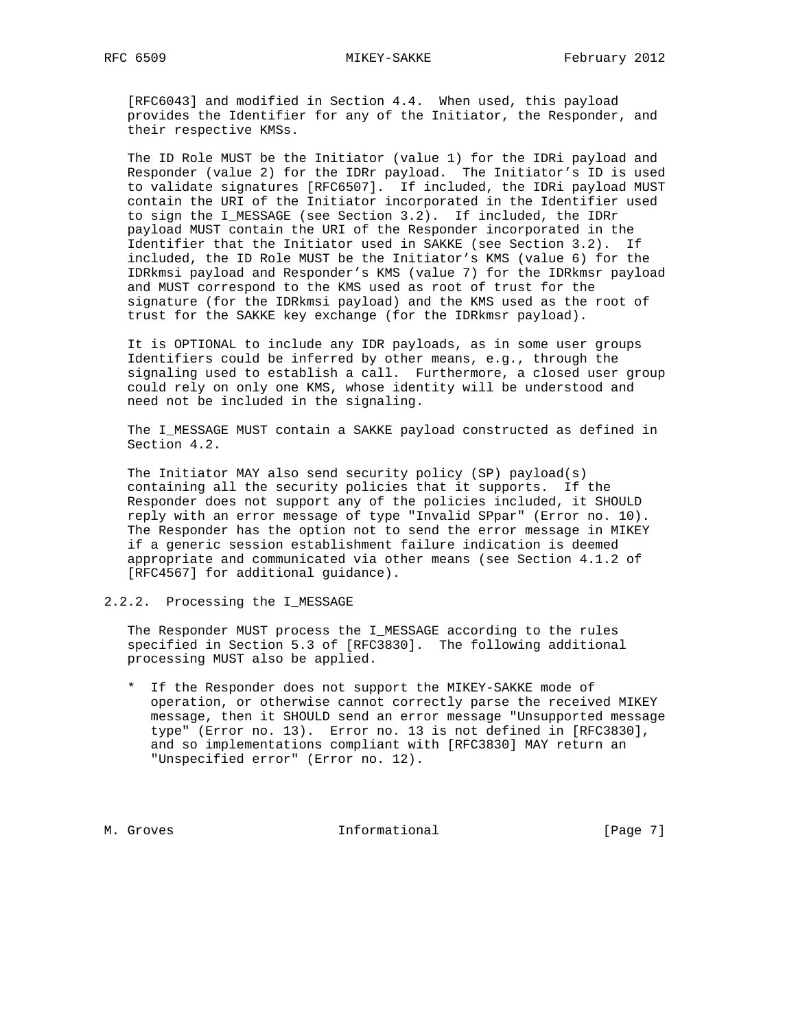[RFC6043] and modified in Section 4.4. When used, this payload provides the Identifier for any of the Initiator, the Responder, and their respective KMSs.

 The ID Role MUST be the Initiator (value 1) for the IDRi payload and Responder (value 2) for the IDRr payload. The Initiator's ID is used to validate signatures [RFC6507]. If included, the IDRi payload MUST contain the URI of the Initiator incorporated in the Identifier used to sign the I\_MESSAGE (see Section 3.2). If included, the IDRr payload MUST contain the URI of the Responder incorporated in the Identifier that the Initiator used in SAKKE (see Section 3.2). If included, the ID Role MUST be the Initiator's KMS (value 6) for the IDRkmsi payload and Responder's KMS (value 7) for the IDRkmsr payload and MUST correspond to the KMS used as root of trust for the signature (for the IDRkmsi payload) and the KMS used as the root of trust for the SAKKE key exchange (for the IDRkmsr payload).

 It is OPTIONAL to include any IDR payloads, as in some user groups Identifiers could be inferred by other means, e.g., through the signaling used to establish a call. Furthermore, a closed user group could rely on only one KMS, whose identity will be understood and need not be included in the signaling.

 The I\_MESSAGE MUST contain a SAKKE payload constructed as defined in Section 4.2.

 The Initiator MAY also send security policy (SP) payload(s) containing all the security policies that it supports. If the Responder does not support any of the policies included, it SHOULD reply with an error message of type "Invalid SPpar" (Error no. 10). The Responder has the option not to send the error message in MIKEY if a generic session establishment failure indication is deemed appropriate and communicated via other means (see Section 4.1.2 of [RFC4567] for additional guidance).

2.2.2. Processing the I\_MESSAGE

 The Responder MUST process the I\_MESSAGE according to the rules specified in Section 5.3 of [RFC3830]. The following additional processing MUST also be applied.

 \* If the Responder does not support the MIKEY-SAKKE mode of operation, or otherwise cannot correctly parse the received MIKEY message, then it SHOULD send an error message "Unsupported message type" (Error no. 13). Error no. 13 is not defined in [RFC3830], and so implementations compliant with [RFC3830] MAY return an "Unspecified error" (Error no. 12).

M. Groves **Informational M. Groves** [Page 7]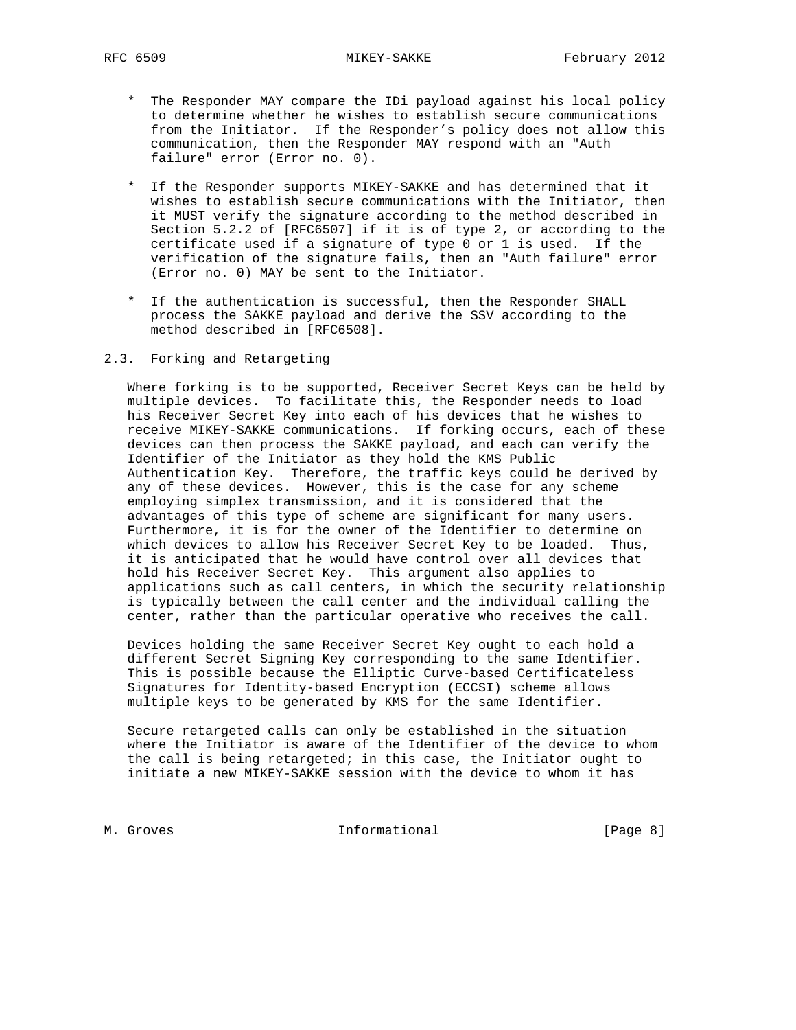- \* The Responder MAY compare the IDi payload against his local policy to determine whether he wishes to establish secure communications from the Initiator. If the Responder's policy does not allow this communication, then the Responder MAY respond with an "Auth failure" error (Error no. 0).
- \* If the Responder supports MIKEY-SAKKE and has determined that it wishes to establish secure communications with the Initiator, then it MUST verify the signature according to the method described in Section 5.2.2 of [RFC6507] if it is of type 2, or according to the certificate used if a signature of type 0 or 1 is used. If the verification of the signature fails, then an "Auth failure" error (Error no. 0) MAY be sent to the Initiator.
- \* If the authentication is successful, then the Responder SHALL process the SAKKE payload and derive the SSV according to the method described in [RFC6508].

## 2.3. Forking and Retargeting

 Where forking is to be supported, Receiver Secret Keys can be held by multiple devices. To facilitate this, the Responder needs to load his Receiver Secret Key into each of his devices that he wishes to receive MIKEY-SAKKE communications. If forking occurs, each of these devices can then process the SAKKE payload, and each can verify the Identifier of the Initiator as they hold the KMS Public Authentication Key. Therefore, the traffic keys could be derived by any of these devices. However, this is the case for any scheme employing simplex transmission, and it is considered that the advantages of this type of scheme are significant for many users. Furthermore, it is for the owner of the Identifier to determine on which devices to allow his Receiver Secret Key to be loaded. Thus, it is anticipated that he would have control over all devices that hold his Receiver Secret Key. This argument also applies to applications such as call centers, in which the security relationship is typically between the call center and the individual calling the center, rather than the particular operative who receives the call.

 Devices holding the same Receiver Secret Key ought to each hold a different Secret Signing Key corresponding to the same Identifier. This is possible because the Elliptic Curve-based Certificateless Signatures for Identity-based Encryption (ECCSI) scheme allows multiple keys to be generated by KMS for the same Identifier.

 Secure retargeted calls can only be established in the situation where the Initiator is aware of the Identifier of the device to whom the call is being retargeted; in this case, the Initiator ought to initiate a new MIKEY-SAKKE session with the device to whom it has

M. Groves **Informational M. Groves** [Page 8]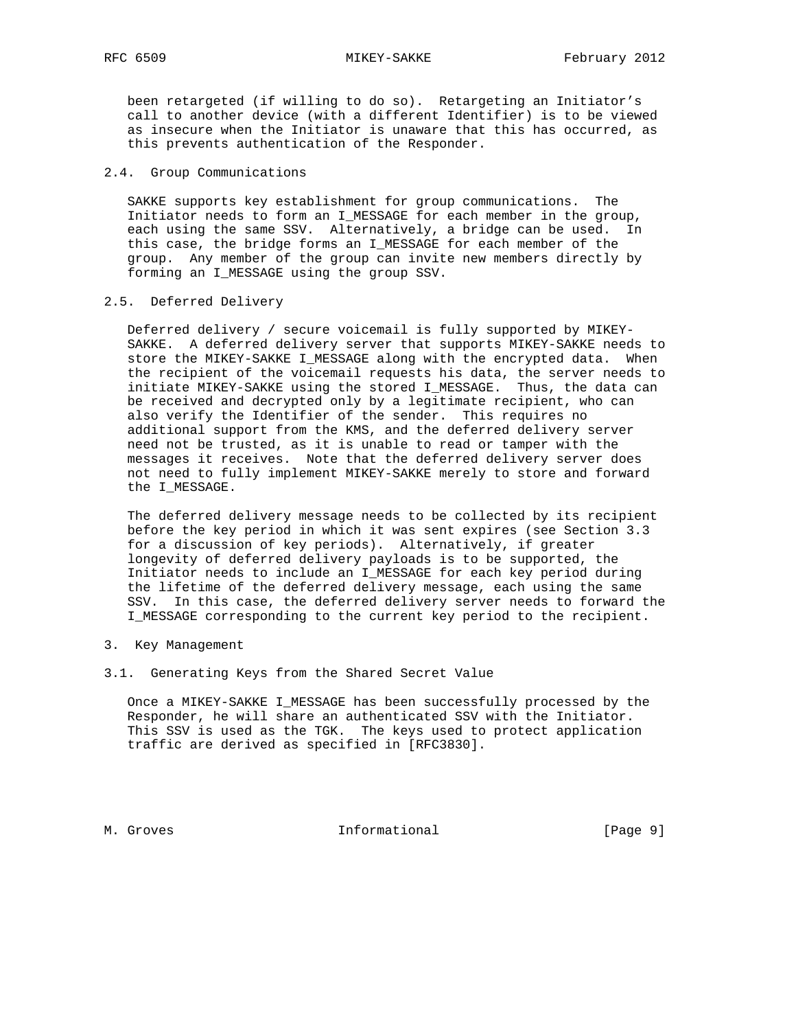been retargeted (if willing to do so). Retargeting an Initiator's call to another device (with a different Identifier) is to be viewed as insecure when the Initiator is unaware that this has occurred, as this prevents authentication of the Responder.

#### 2.4. Group Communications

 SAKKE supports key establishment for group communications. The Initiator needs to form an I\_MESSAGE for each member in the group, each using the same SSV. Alternatively, a bridge can be used. In this case, the bridge forms an I\_MESSAGE for each member of the group. Any member of the group can invite new members directly by forming an I\_MESSAGE using the group SSV.

## 2.5. Deferred Delivery

 Deferred delivery / secure voicemail is fully supported by MIKEY- SAKKE. A deferred delivery server that supports MIKEY-SAKKE needs to store the MIKEY-SAKKE I\_MESSAGE along with the encrypted data. When the recipient of the voicemail requests his data, the server needs to initiate MIKEY-SAKKE using the stored I\_MESSAGE. Thus, the data can be received and decrypted only by a legitimate recipient, who can also verify the Identifier of the sender. This requires no additional support from the KMS, and the deferred delivery server need not be trusted, as it is unable to read or tamper with the messages it receives. Note that the deferred delivery server does not need to fully implement MIKEY-SAKKE merely to store and forward the I\_MESSAGE.

 The deferred delivery message needs to be collected by its recipient before the key period in which it was sent expires (see Section 3.3 for a discussion of key periods). Alternatively, if greater longevity of deferred delivery payloads is to be supported, the Initiator needs to include an I\_MESSAGE for each key period during the lifetime of the deferred delivery message, each using the same SSV. In this case, the deferred delivery server needs to forward the I\_MESSAGE corresponding to the current key period to the recipient.

- 3. Key Management
- 3.1. Generating Keys from the Shared Secret Value

 Once a MIKEY-SAKKE I\_MESSAGE has been successfully processed by the Responder, he will share an authenticated SSV with the Initiator. This SSV is used as the TGK. The keys used to protect application traffic are derived as specified in [RFC3830].

M. Groves **Informational** [Page 9]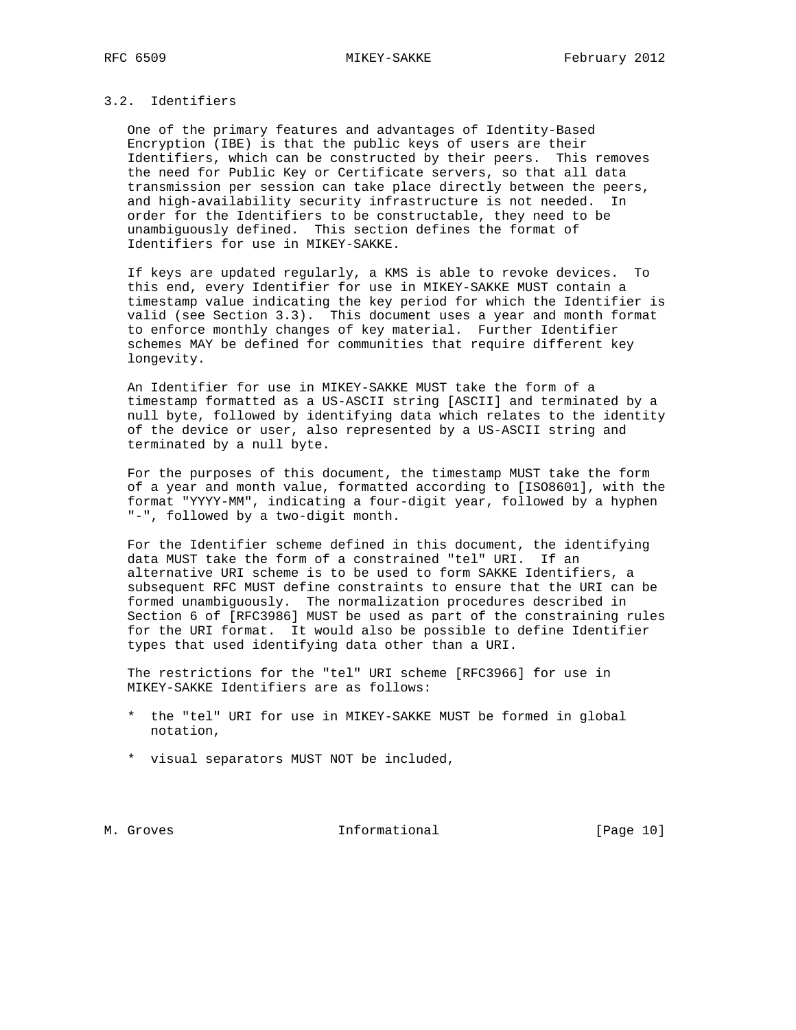## 3.2. Identifiers

 One of the primary features and advantages of Identity-Based Encryption (IBE) is that the public keys of users are their Identifiers, which can be constructed by their peers. This removes the need for Public Key or Certificate servers, so that all data transmission per session can take place directly between the peers, and high-availability security infrastructure is not needed. In order for the Identifiers to be constructable, they need to be unambiguously defined. This section defines the format of Identifiers for use in MIKEY-SAKKE.

 If keys are updated regularly, a KMS is able to revoke devices. To this end, every Identifier for use in MIKEY-SAKKE MUST contain a timestamp value indicating the key period for which the Identifier is valid (see Section 3.3). This document uses a year and month format to enforce monthly changes of key material. Further Identifier schemes MAY be defined for communities that require different key longevity.

 An Identifier for use in MIKEY-SAKKE MUST take the form of a timestamp formatted as a US-ASCII string [ASCII] and terminated by a null byte, followed by identifying data which relates to the identity of the device or user, also represented by a US-ASCII string and terminated by a null byte.

 For the purposes of this document, the timestamp MUST take the form of a year and month value, formatted according to [ISO8601], with the format "YYYY-MM", indicating a four-digit year, followed by a hyphen "-", followed by a two-digit month.

 For the Identifier scheme defined in this document, the identifying data MUST take the form of a constrained "tel" URI. If an alternative URI scheme is to be used to form SAKKE Identifiers, a subsequent RFC MUST define constraints to ensure that the URI can be formed unambiguously. The normalization procedures described in Section 6 of [RFC3986] MUST be used as part of the constraining rules for the URI format. It would also be possible to define Identifier types that used identifying data other than a URI.

 The restrictions for the "tel" URI scheme [RFC3966] for use in MIKEY-SAKKE Identifiers are as follows:

- \* the "tel" URI for use in MIKEY-SAKKE MUST be formed in global notation,
- \* visual separators MUST NOT be included,

M. Groves **Informational** [Page 10]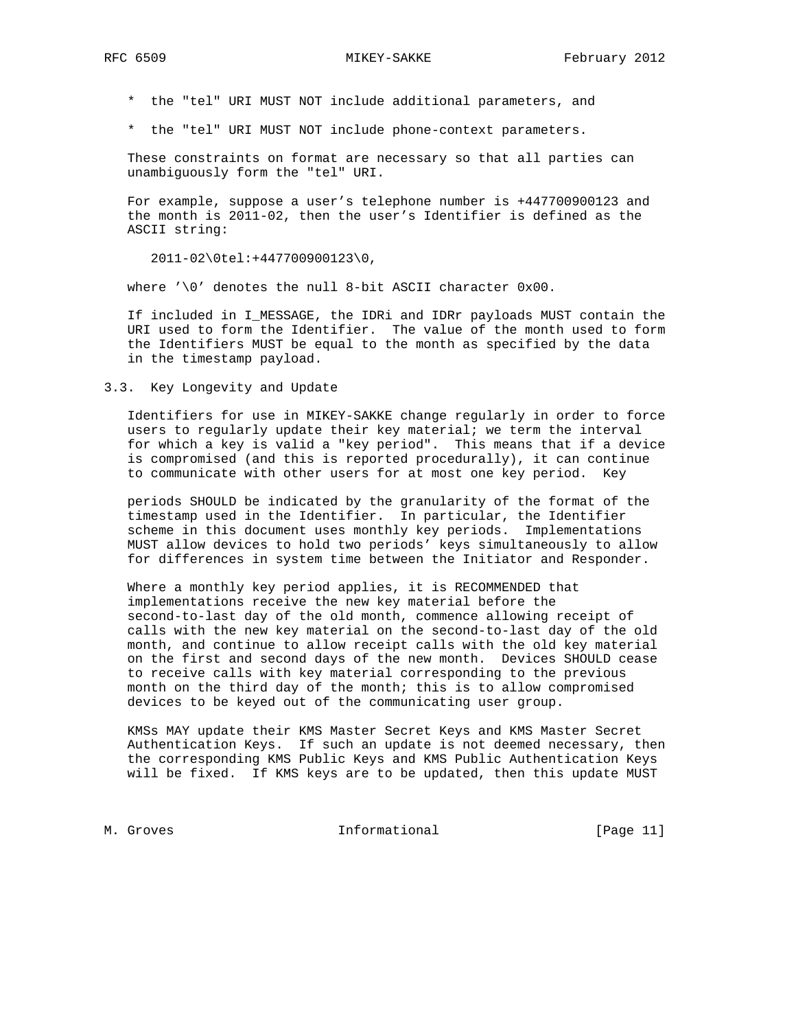\* the "tel" URI MUST NOT include additional parameters, and

\* the "tel" URI MUST NOT include phone-context parameters.

 These constraints on format are necessary so that all parties can unambiguously form the "tel" URI.

 For example, suppose a user's telephone number is +447700900123 and the month is 2011-02, then the user's Identifier is defined as the ASCII string:

2011-02\0tel:+447700900123\0,

where  $\sqrt{0'}$  denotes the null 8-bit ASCII character  $0x00$ .

 If included in I\_MESSAGE, the IDRi and IDRr payloads MUST contain the URI used to form the Identifier. The value of the month used to form the Identifiers MUST be equal to the month as specified by the data in the timestamp payload.

3.3. Key Longevity and Update

 Identifiers for use in MIKEY-SAKKE change regularly in order to force users to regularly update their key material; we term the interval for which a key is valid a "key period". This means that if a device is compromised (and this is reported procedurally), it can continue to communicate with other users for at most one key period. Key

 periods SHOULD be indicated by the granularity of the format of the timestamp used in the Identifier. In particular, the Identifier scheme in this document uses monthly key periods. Implementations MUST allow devices to hold two periods' keys simultaneously to allow for differences in system time between the Initiator and Responder.

 Where a monthly key period applies, it is RECOMMENDED that implementations receive the new key material before the second-to-last day of the old month, commence allowing receipt of calls with the new key material on the second-to-last day of the old month, and continue to allow receipt calls with the old key material on the first and second days of the new month. Devices SHOULD cease to receive calls with key material corresponding to the previous month on the third day of the month; this is to allow compromised devices to be keyed out of the communicating user group.

 KMSs MAY update their KMS Master Secret Keys and KMS Master Secret Authentication Keys. If such an update is not deemed necessary, then the corresponding KMS Public Keys and KMS Public Authentication Keys will be fixed. If KMS keys are to be updated, then this update MUST

M. Groves **Informational** [Page 11]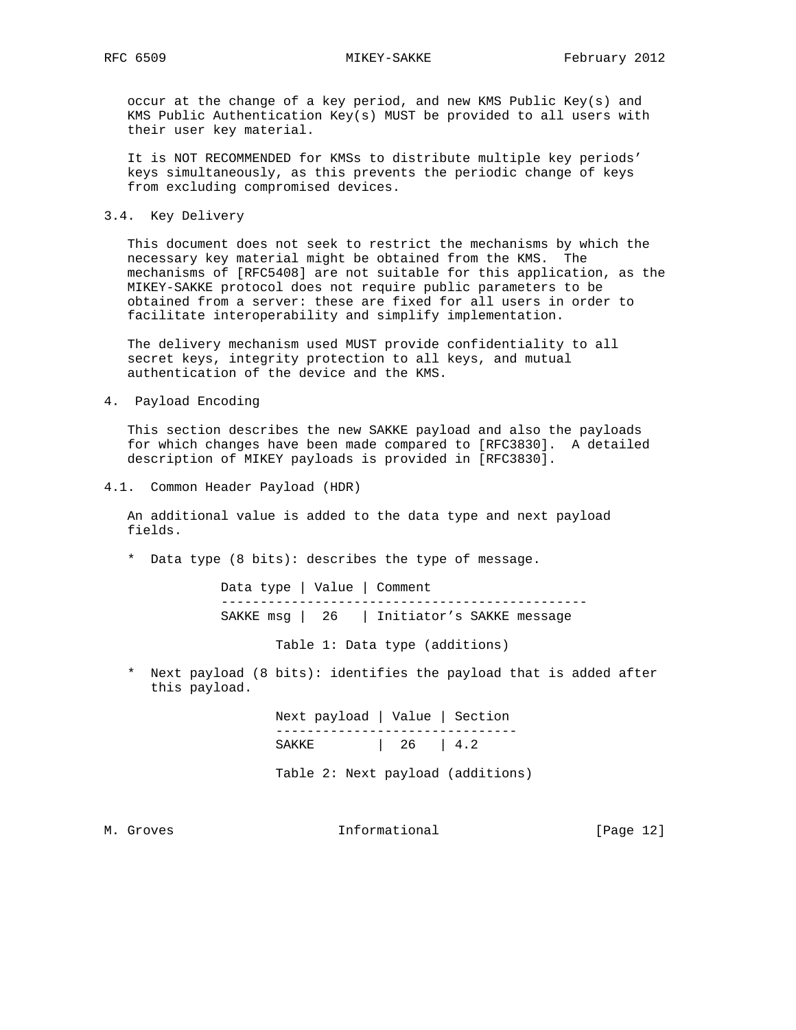occur at the change of a key period, and new KMS Public Key(s) and KMS Public Authentication Key(s) MUST be provided to all users with their user key material.

 It is NOT RECOMMENDED for KMSs to distribute multiple key periods' keys simultaneously, as this prevents the periodic change of keys from excluding compromised devices.

3.4. Key Delivery

 This document does not seek to restrict the mechanisms by which the necessary key material might be obtained from the KMS. The mechanisms of [RFC5408] are not suitable for this application, as the MIKEY-SAKKE protocol does not require public parameters to be obtained from a server: these are fixed for all users in order to facilitate interoperability and simplify implementation.

 The delivery mechanism used MUST provide confidentiality to all secret keys, integrity protection to all keys, and mutual authentication of the device and the KMS.

4. Payload Encoding

 This section describes the new SAKKE payload and also the payloads for which changes have been made compared to [RFC3830]. A detailed description of MIKEY payloads is provided in [RFC3830].

4.1. Common Header Payload (HDR)

 An additional value is added to the data type and next payload fields.

\* Data type (8 bits): describes the type of message.

 Data type | Value | Comment ----------------------------------------------- SAKKE msg | 26 | Initiator's SAKKE message

Table 1: Data type (additions)

 \* Next payload (8 bits): identifies the payload that is added after this payload.

 Next payload | Value | Section ------------------------------- SAKKE | 26 | 4.2

Table 2: Next payload (additions)

M. Groves **Informational** [Page 12]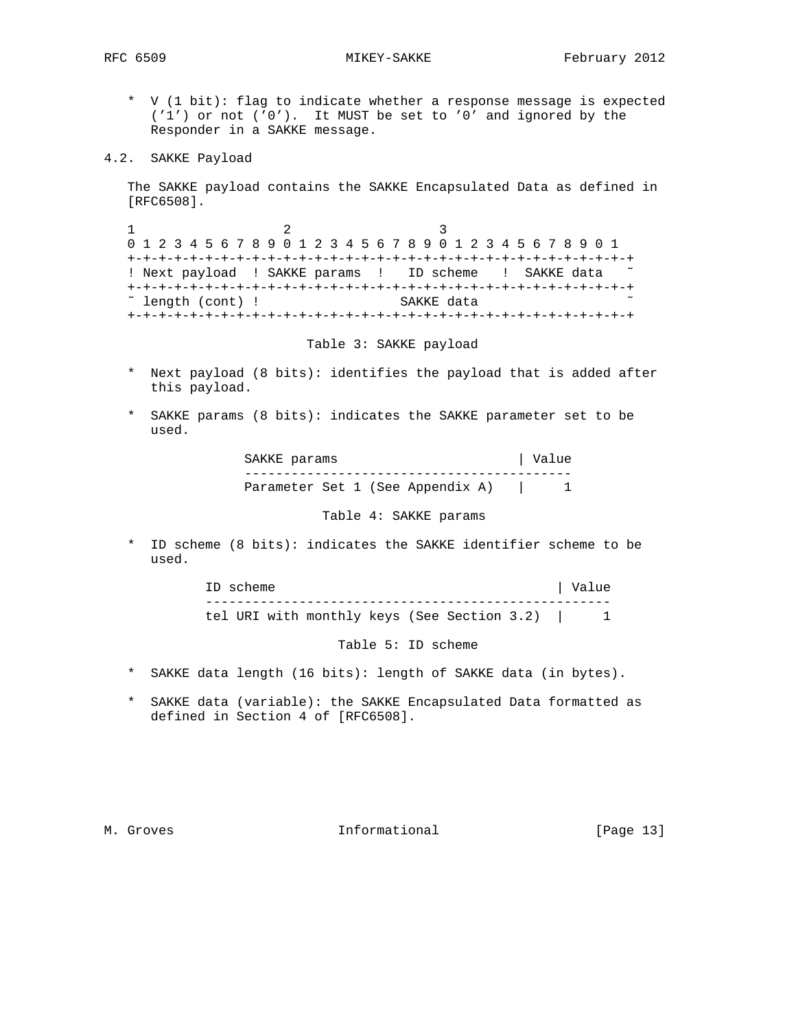- \* V (1 bit): flag to indicate whether a response message is expected ('1') or not ('0'). It MUST be set to '0' and ignored by the Responder in a SAKKE message.
- 4.2. SAKKE Payload

 The SAKKE payload contains the SAKKE Encapsulated Data as defined in [RFC6508].

1 2 3 0 1 2 3 4 5 6 7 8 9 0 1 2 3 4 5 6 7 8 9 0 1 2 3 4 5 6 7 8 9 0 1 +-+-+-+-+-+-+-+-+-+-+-+-+-+-+-+-+-+-+-+-+-+-+-+-+-+-+-+-+-+-+-+-+ ! Next payload ! SAKKE params ! ID scheme ! SAKKE data +-+-+-+-+-+-+-+-+-+-+-+-+-+-+-+-+-+-+-+-+-+-+-+-+-+-+-+-+-+-+-+-+ ˜ length (cont) ! SAKKE data ˜ +-+-+-+-+-+-+-+-+-+-+-+-+-+-+-+-+-+-+-+-+-+-+-+-+-+-+-+-+-+-+-+-+

Table 3: SAKKE payload

- \* Next payload (8 bits): identifies the payload that is added after this payload.
- \* SAKKE params (8 bits): indicates the SAKKE parameter set to be used.

| SAKKE params |  |                                  | Value |  |
|--------------|--|----------------------------------|-------|--|
|              |  |                                  |       |  |
|              |  | Parameter Set 1 (See Appendix A) |       |  |

Table 4: SAKKE params

 \* ID scheme (8 bits): indicates the SAKKE identifier scheme to be used.

> ID scheme  $\vert$  Value --------------------------------------------------- tel URI with monthly keys (See Section 3.2) | 1

> > Table 5: ID scheme

- \* SAKKE data length (16 bits): length of SAKKE data (in bytes).
- \* SAKKE data (variable): the SAKKE Encapsulated Data formatted as defined in Section 4 of [RFC6508].

M. Groves **Informational** [Page 13]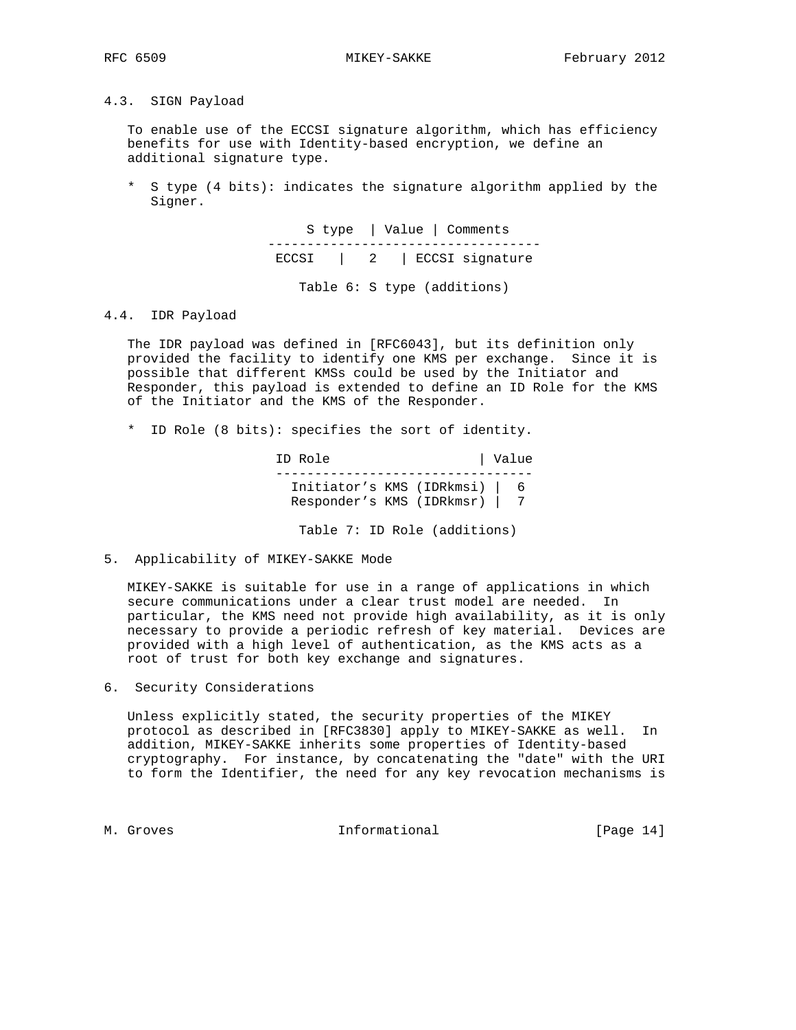4.3. SIGN Payload

 To enable use of the ECCSI signature algorithm, which has efficiency benefits for use with Identity-based encryption, we define an additional signature type.

 \* S type (4 bits): indicates the signature algorithm applied by the Signer.

> S type | Value | Comments ----------------------------------- ECCSI | 2 | ECCSI signature

> > Table 6: S type (additions)

4.4. IDR Payload

 The IDR payload was defined in [RFC6043], but its definition only provided the facility to identify one KMS per exchange. Since it is possible that different KMSs could be used by the Initiator and Responder, this payload is extended to define an ID Role for the KMS of the Initiator and the KMS of the Responder.

\* ID Role (8 bits): specifies the sort of identity.

ID Role | Value --------------------------------- Initiator's KMS (IDRkmsi) | 6 Responder's KMS (IDRkmsr) | 7

- Table 7: ID Role (additions)
- 5. Applicability of MIKEY-SAKKE Mode

 MIKEY-SAKKE is suitable for use in a range of applications in which secure communications under a clear trust model are needed. In particular, the KMS need not provide high availability, as it is only necessary to provide a periodic refresh of key material. Devices are provided with a high level of authentication, as the KMS acts as a root of trust for both key exchange and signatures.

6. Security Considerations

 Unless explicitly stated, the security properties of the MIKEY protocol as described in [RFC3830] apply to MIKEY-SAKKE as well. In addition, MIKEY-SAKKE inherits some properties of Identity-based cryptography. For instance, by concatenating the "date" with the URI to form the Identifier, the need for any key revocation mechanisms is

M. Groves and the informational and the set of  $\sim$  [Page 14]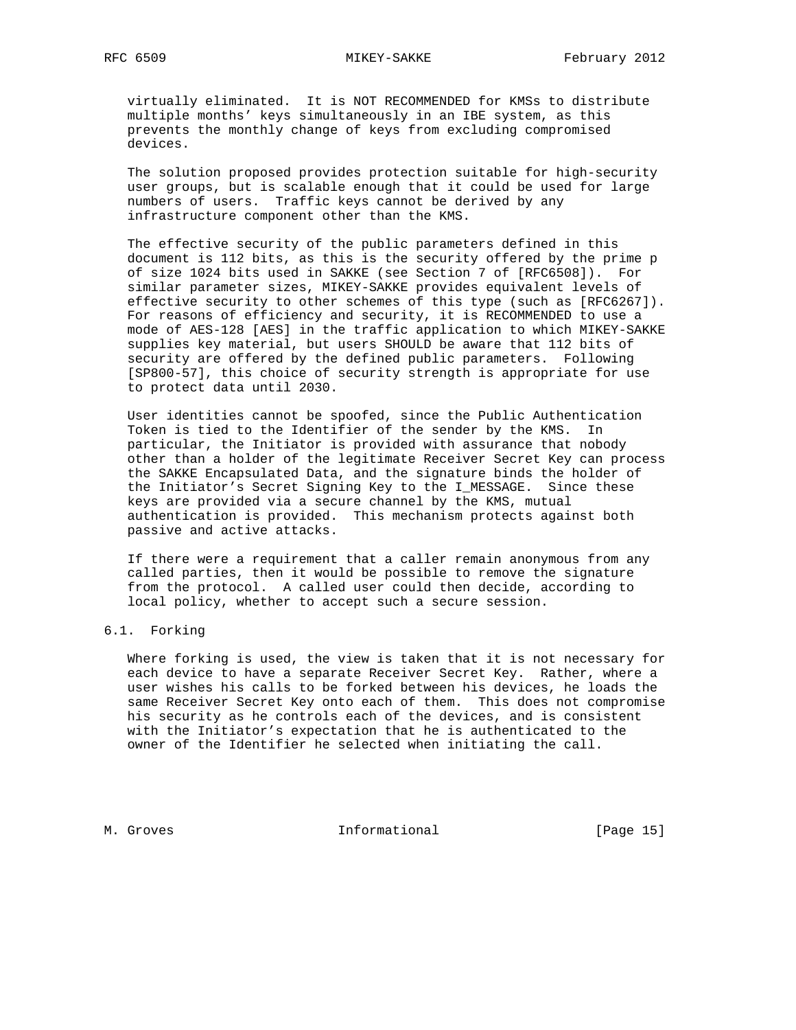virtually eliminated. It is NOT RECOMMENDED for KMSs to distribute multiple months' keys simultaneously in an IBE system, as this prevents the monthly change of keys from excluding compromised devices.

 The solution proposed provides protection suitable for high-security user groups, but is scalable enough that it could be used for large numbers of users. Traffic keys cannot be derived by any infrastructure component other than the KMS.

 The effective security of the public parameters defined in this document is 112 bits, as this is the security offered by the prime p of size 1024 bits used in SAKKE (see Section 7 of [RFC6508]). For similar parameter sizes, MIKEY-SAKKE provides equivalent levels of effective security to other schemes of this type (such as [RFC6267]). For reasons of efficiency and security, it is RECOMMENDED to use a mode of AES-128 [AES] in the traffic application to which MIKEY-SAKKE supplies key material, but users SHOULD be aware that 112 bits of security are offered by the defined public parameters. Following [SP800-57], this choice of security strength is appropriate for use to protect data until 2030.

 User identities cannot be spoofed, since the Public Authentication Token is tied to the Identifier of the sender by the KMS. In particular, the Initiator is provided with assurance that nobody other than a holder of the legitimate Receiver Secret Key can process the SAKKE Encapsulated Data, and the signature binds the holder of the Initiator's Secret Signing Key to the I\_MESSAGE. Since these keys are provided via a secure channel by the KMS, mutual authentication is provided. This mechanism protects against both passive and active attacks.

 If there were a requirement that a caller remain anonymous from any called parties, then it would be possible to remove the signature from the protocol. A called user could then decide, according to local policy, whether to accept such a secure session.

# 6.1. Forking

 Where forking is used, the view is taken that it is not necessary for each device to have a separate Receiver Secret Key. Rather, where a user wishes his calls to be forked between his devices, he loads the same Receiver Secret Key onto each of them. This does not compromise his security as he controls each of the devices, and is consistent with the Initiator's expectation that he is authenticated to the owner of the Identifier he selected when initiating the call.

M. Groves **Informational** [Page 15]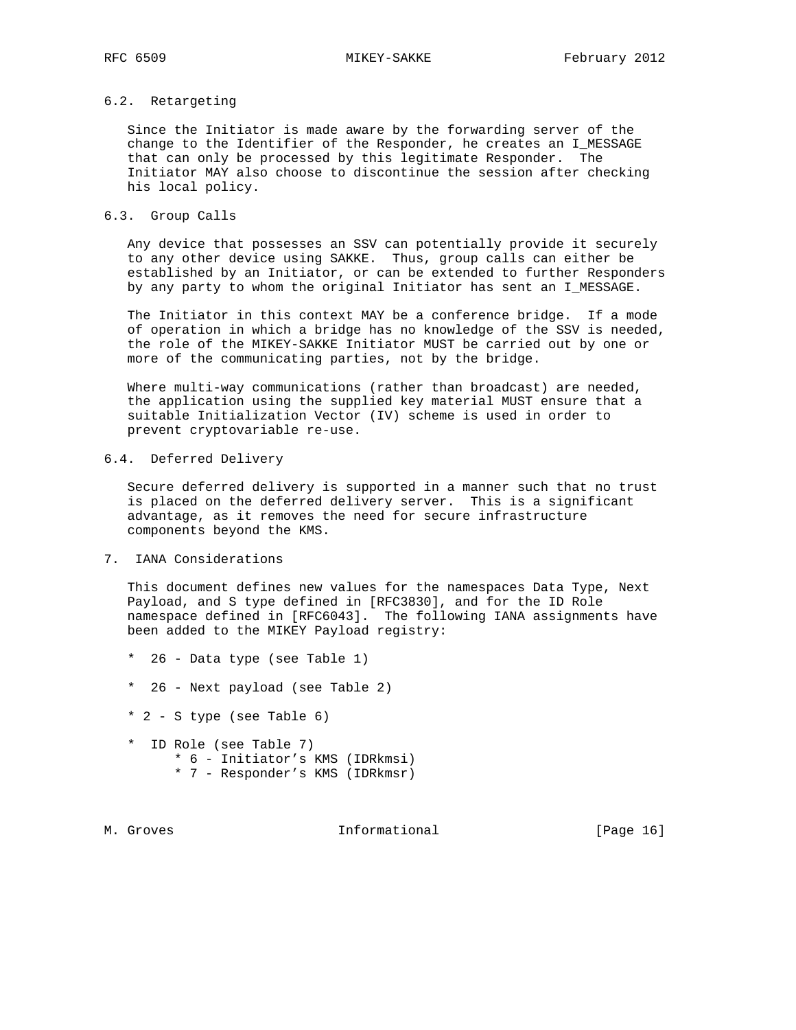## 6.2. Retargeting

 Since the Initiator is made aware by the forwarding server of the change to the Identifier of the Responder, he creates an I\_MESSAGE that can only be processed by this legitimate Responder. The Initiator MAY also choose to discontinue the session after checking his local policy.

## 6.3. Group Calls

 Any device that possesses an SSV can potentially provide it securely to any other device using SAKKE. Thus, group calls can either be established by an Initiator, or can be extended to further Responders by any party to whom the original Initiator has sent an I\_MESSAGE.

 The Initiator in this context MAY be a conference bridge. If a mode of operation in which a bridge has no knowledge of the SSV is needed, the role of the MIKEY-SAKKE Initiator MUST be carried out by one or more of the communicating parties, not by the bridge.

Where multi-way communications (rather than broadcast) are needed, the application using the supplied key material MUST ensure that a suitable Initialization Vector (IV) scheme is used in order to prevent cryptovariable re-use.

## 6.4. Deferred Delivery

 Secure deferred delivery is supported in a manner such that no trust is placed on the deferred delivery server. This is a significant advantage, as it removes the need for secure infrastructure components beyond the KMS.

## 7. IANA Considerations

 This document defines new values for the namespaces Data Type, Next Payload, and S type defined in [RFC3830], and for the ID Role namespace defined in [RFC6043]. The following IANA assignments have been added to the MIKEY Payload registry:

- \* 26 Data type (see Table 1)
- \* 26 Next payload (see Table 2)
- \* 2 S type (see Table 6)
- \* ID Role (see Table 7) \* 6 - Initiator's KMS (IDRkmsi)
	- \* 7 Responder's KMS (IDRkmsr)
- 

M. Groves **Informational** [Page 16]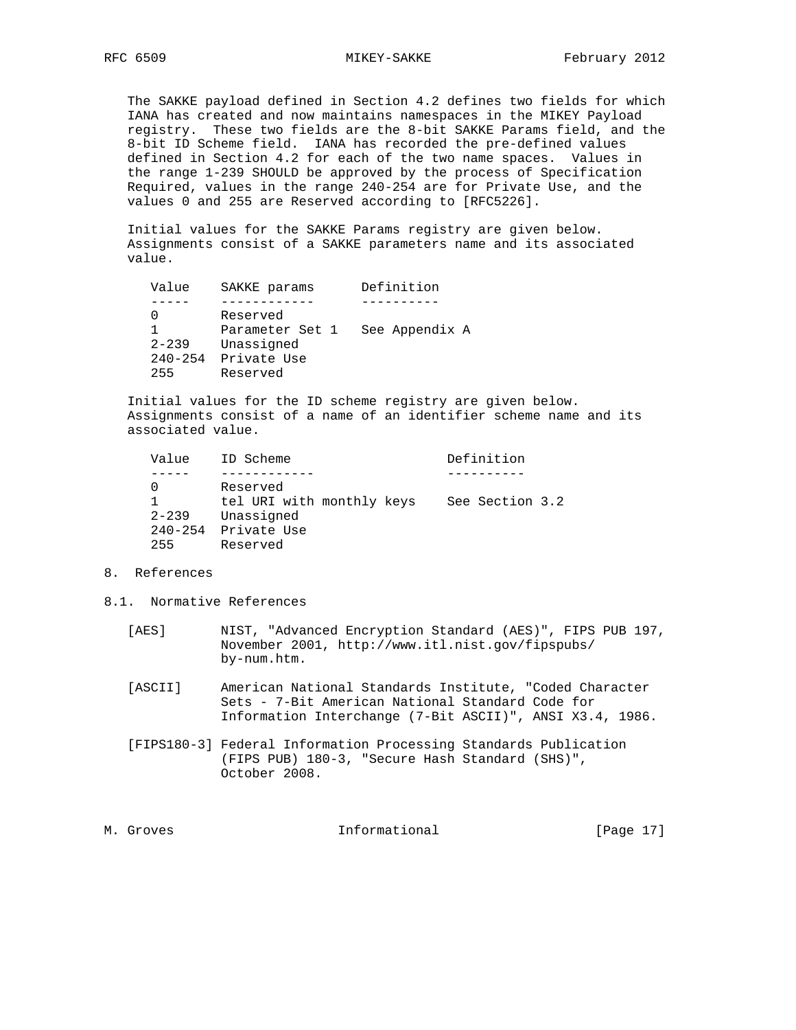The SAKKE payload defined in Section 4.2 defines two fields for which IANA has created and now maintains namespaces in the MIKEY Payload registry. These two fields are the 8-bit SAKKE Params field, and the 8-bit ID Scheme field. IANA has recorded the pre-defined values defined in Section 4.2 for each of the two name spaces. Values in the range 1-239 SHOULD be approved by the process of Specification Required, values in the range 240-254 are for Private Use, and the values 0 and 255 are Reserved according to [RFC5226].

 Initial values for the SAKKE Params registry are given below. Assignments consist of a SAKKE parameters name and its associated value.

| Value       | SAKKE params    | Definition     |
|-------------|-----------------|----------------|
|             |                 |                |
|             | Reserved        |                |
|             | Parameter Set 1 | See Appendix A |
| $2 - 239$   | Unassigned      |                |
| $240 - 254$ | Private Use     |                |
| 255         | Reserved        |                |

 Initial values for the ID scheme registry are given below. Assignments consist of a name of an identifier scheme name and its associated value.

| Value                           | ID Scheme                                                                      | Definition      |
|---------------------------------|--------------------------------------------------------------------------------|-----------------|
|                                 |                                                                                |                 |
| $2 - 239$<br>$240 - 254$<br>255 | Reserved<br>tel URI with monthly keys<br>Unassigned<br>Private Use<br>Reserved | See Section 3.2 |

- 8. References
- 8.1. Normative References
	- [AES] NIST, "Advanced Encryption Standard (AES)", FIPS PUB 197, November 2001, http://www.itl.nist.gov/fipspubs/ by-num.htm.
	- [ASCII] American National Standards Institute, "Coded Character Sets - 7-Bit American National Standard Code for Information Interchange (7-Bit ASCII)", ANSI X3.4, 1986.
	- [FIPS180-3] Federal Information Processing Standards Publication (FIPS PUB) 180-3, "Secure Hash Standard (SHS)", October 2008.

| Informational<br>. |  |              |
|--------------------|--|--------------|
| M. Groves          |  | [Page $17$ ] |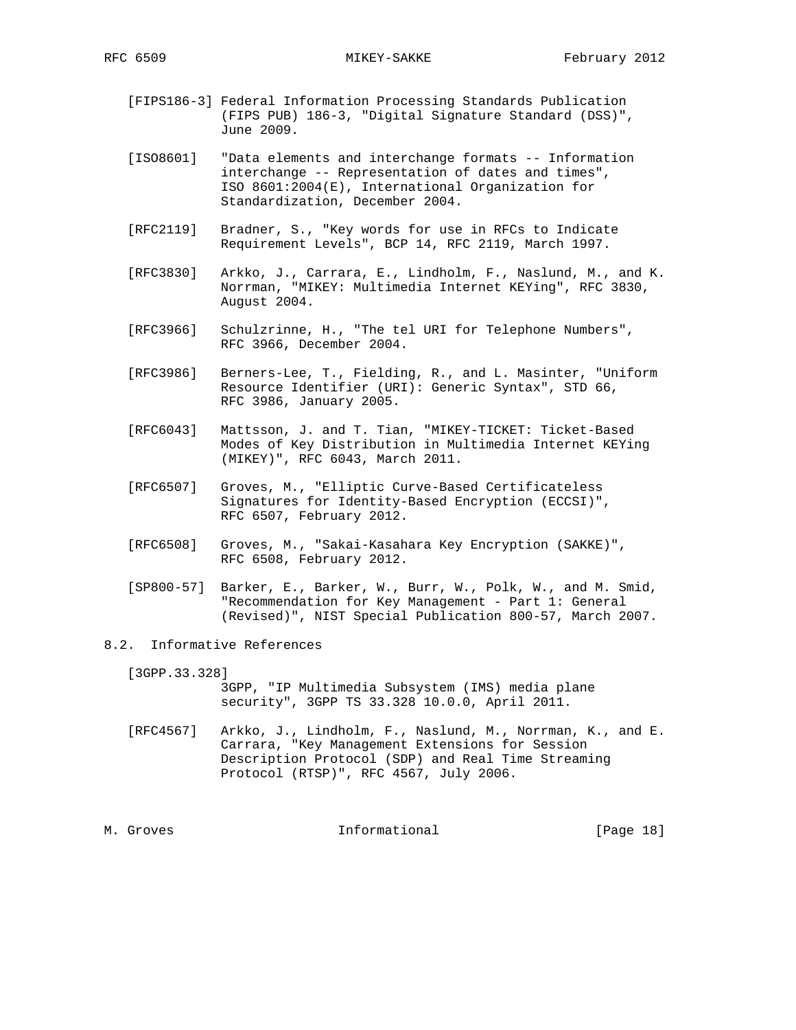- [FIPS186-3] Federal Information Processing Standards Publication (FIPS PUB) 186-3, "Digital Signature Standard (DSS)", June 2009.
- [ISO8601] "Data elements and interchange formats -- Information interchange -- Representation of dates and times", ISO 8601:2004(E), International Organization for Standardization, December 2004.
- [RFC2119] Bradner, S., "Key words for use in RFCs to Indicate Requirement Levels", BCP 14, RFC 2119, March 1997.
- [RFC3830] Arkko, J., Carrara, E., Lindholm, F., Naslund, M., and K. Norrman, "MIKEY: Multimedia Internet KEYing", RFC 3830, August 2004.
- [RFC3966] Schulzrinne, H., "The tel URI for Telephone Numbers", RFC 3966, December 2004.
- [RFC3986] Berners-Lee, T., Fielding, R., and L. Masinter, "Uniform Resource Identifier (URI): Generic Syntax", STD 66, RFC 3986, January 2005.
- [RFC6043] Mattsson, J. and T. Tian, "MIKEY-TICKET: Ticket-Based Modes of Key Distribution in Multimedia Internet KEYing (MIKEY)", RFC 6043, March 2011.
- [RFC6507] Groves, M., "Elliptic Curve-Based Certificateless Signatures for Identity-Based Encryption (ECCSI)", RFC 6507, February 2012.
- [RFC6508] Groves, M., "Sakai-Kasahara Key Encryption (SAKKE)", RFC 6508, February 2012.
- [SP800-57] Barker, E., Barker, W., Burr, W., Polk, W., and M. Smid, "Recommendation for Key Management - Part 1: General (Revised)", NIST Special Publication 800-57, March 2007.
- 8.2. Informative References

[3GPP.33.328]

- 3GPP, "IP Multimedia Subsystem (IMS) media plane security", 3GPP TS 33.328 10.0.0, April 2011.
- [RFC4567] Arkko, J., Lindholm, F., Naslund, M., Norrman, K., and E. Carrara, "Key Management Extensions for Session Description Protocol (SDP) and Real Time Streaming Protocol (RTSP)", RFC 4567, July 2006.

M. Groves and the informational and the same of  $[Page 18]$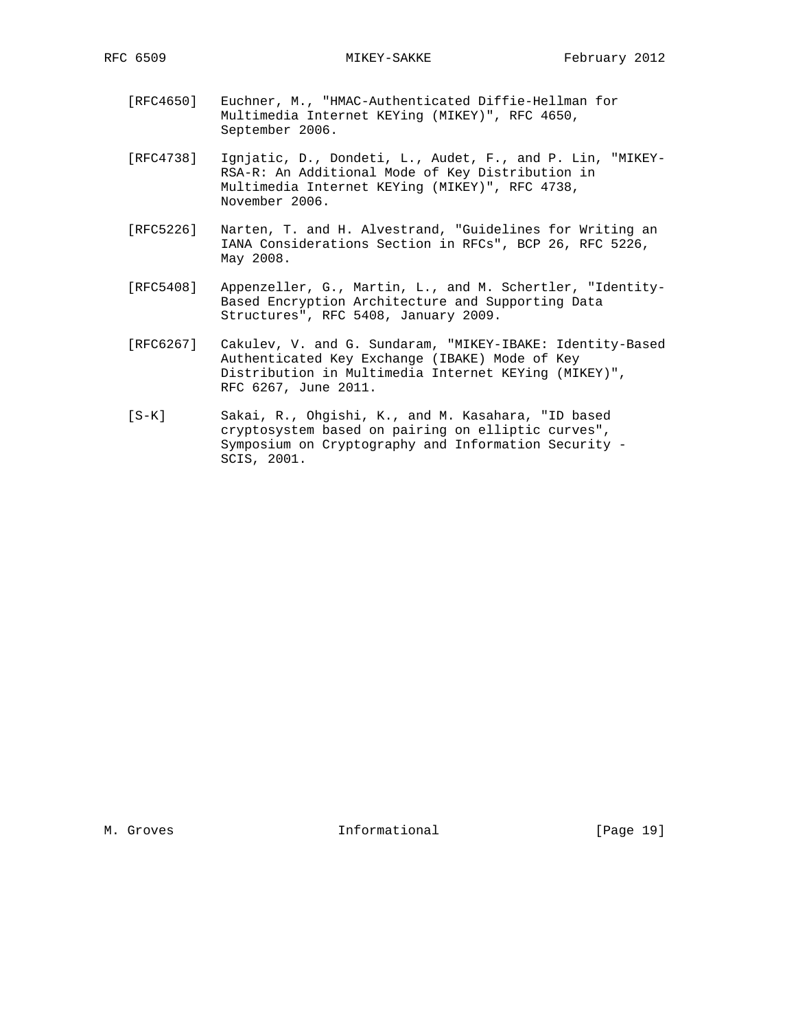- [RFC4650] Euchner, M., "HMAC-Authenticated Diffie-Hellman for Multimedia Internet KEYing (MIKEY)", RFC 4650, September 2006.
- [RFC4738] Ignjatic, D., Dondeti, L., Audet, F., and P. Lin, "MIKEY- RSA-R: An Additional Mode of Key Distribution in Multimedia Internet KEYing (MIKEY)", RFC 4738, November 2006.
- [RFC5226] Narten, T. and H. Alvestrand, "Guidelines for Writing an IANA Considerations Section in RFCs", BCP 26, RFC 5226, May 2008.
- [RFC5408] Appenzeller, G., Martin, L., and M. Schertler, "Identity- Based Encryption Architecture and Supporting Data Structures", RFC 5408, January 2009.
- [RFC6267] Cakulev, V. and G. Sundaram, "MIKEY-IBAKE: Identity-Based Authenticated Key Exchange (IBAKE) Mode of Key Distribution in Multimedia Internet KEYing (MIKEY)", RFC 6267, June 2011.
- [S-K] Sakai, R., Ohgishi, K., and M. Kasahara, "ID based cryptosystem based on pairing on elliptic curves", Symposium on Cryptography and Information Security - SCIS, 2001.

M. Groves **Informational** [Page 19]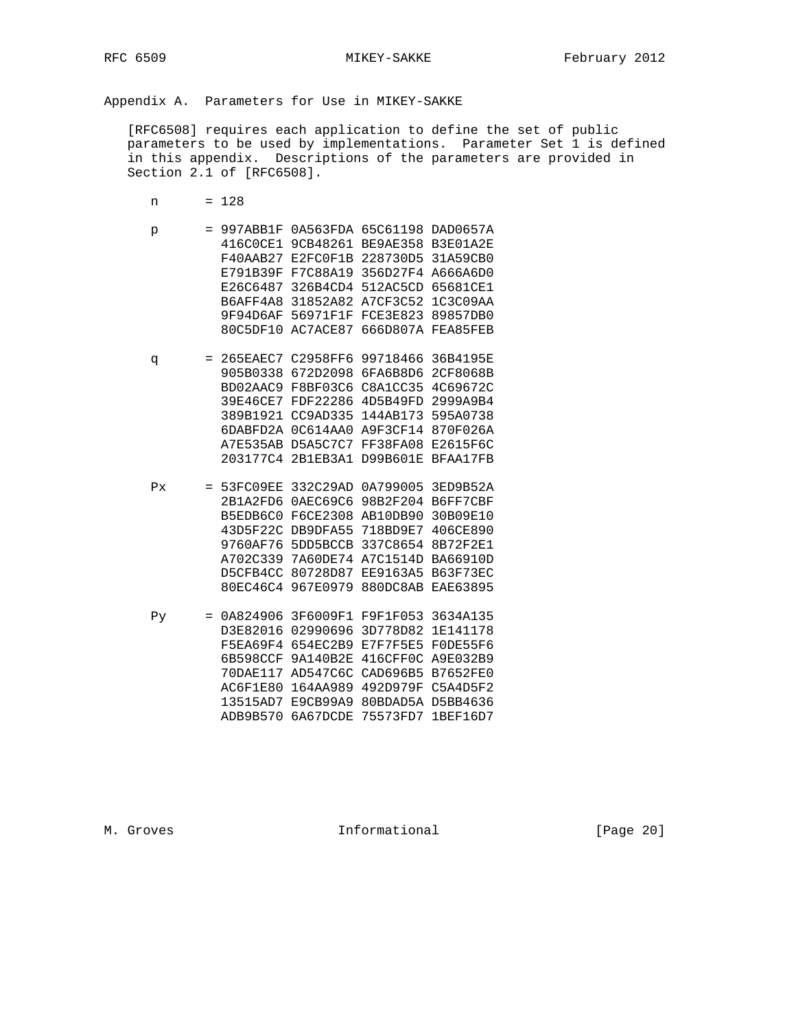Appendix A. Parameters for Use in MIKEY-SAKKE

 [RFC6508] requires each application to define the set of public parameters to be used by implementations. Parameter Set 1 is defined in this appendix. Descriptions of the parameters are provided in Section 2.1 of [RFC6508].

- n = 128
- p = 997ABB1F 0A563FDA 65C61198 DAD0657A 416C0CE1 9CB48261 BE9AE358 B3E01A2E F40AAB27 E2FC0F1B 228730D5 31A59CB0 E791B39F F7C88A19 356D27F4 A666A6D0 E26C6487 326B4CD4 512AC5CD 65681CE1 B6AFF4A8 31852A82 A7CF3C52 1C3C09AA 9F94D6AF 56971F1F FCE3E823 89857DB0 80C5DF10 AC7ACE87 666D807A FEA85FEB q = 265EAEC7 C2958FF6 99718466 36B4195E 905B0338 672D2098 6FA6B8D6 2CF8068B BD02AAC9 F8BF03C6 C8A1CC35 4C69672C 39E46CE7 FDF22286 4D5B49FD 2999A9B4 389B1921 CC9AD335 144AB173 595A0738 6DABFD2A 0C614AA0 A9F3CF14 870F026A A7E535AB D5A5C7C7 FF38FA08 E2615F6C
- Px = 53FC09EE 332C29AD 0A799005 3ED9B52A 2B1A2FD6 0AEC69C6 98B2F204 B6FF7CBF B5EDB6C0 F6CE2308 AB10DB90 30B09E10 43D5F22C DB9DFA55 718BD9E7 406CE890 9760AF76 5DD5BCCB 337C8654 8B72F2E1 A702C339 7A60DE74 A7C1514D BA66910D D5CFB4CC 80728D87 EE9163A5 B63F73EC 80EC46C4 967E0979 880DC8AB EAE63895

203177C4 2B1EB3A1 D99B601E BFAA17FB

 Py = 0A824906 3F6009F1 F9F1F053 3634A135 D3E82016 02990696 3D778D82 1E141178 F5EA69F4 654EC2B9 E7F7F5E5 F0DE55F6 6B598CCF 9A140B2E 416CFF0C A9E032B9 70DAE117 AD547C6C CAD696B5 B7652FE0 AC6F1E80 164AA989 492D979F C5A4D5F2 13515AD7 E9CB99A9 80BDAD5A D5BB4636 ADB9B570 6A67DCDE 75573FD7 1BEF16D7

M. Groves and the informational and the set of  $[Page 20]$